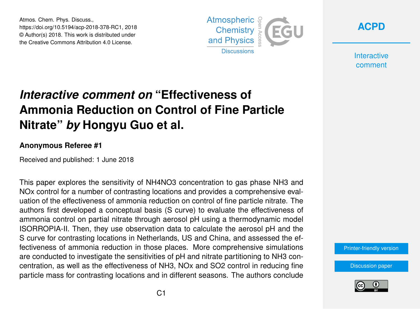Atmos. Chem. Phys. Discuss., https://doi.org/10.5194/acp-2018-378-RC1, 2018 © Author(s) 2018. This work is distributed under the Creative Commons Attribution 4.0 License.



**[ACPD](https://www.atmos-chem-phys-discuss.net/)**

**Interactive** comment

## *Interactive comment on* **"Effectiveness of Ammonia Reduction on Control of Fine Particle Nitrate"** *by* **Hongyu Guo et al.**

## **Anonymous Referee #1**

Received and published: 1 June 2018

This paper explores the sensitivity of NH4NO3 concentration to gas phase NH3 and NOx control for a number of contrasting locations and provides a comprehensive evaluation of the effectiveness of ammonia reduction on control of fine particle nitrate. The authors first developed a conceptual basis (S curve) to evaluate the effectiveness of ammonia control on partial nitrate through aerosol pH using a thermodynamic model ISORROPIA-II. Then, they use observation data to calculate the aerosol pH and the S curve for contrasting locations in Netherlands, US and China, and assessed the effectiveness of ammonia reduction in those places. More comprehensive simulations are conducted to investigate the sensitivities of pH and nitrate partitioning to NH3 concentration, as well as the effectiveness of NH3, NOx and SO2 control in reducing fine particle mass for contrasting locations and in different seasons. The authors conclude

[Printer-friendly version](https://www.atmos-chem-phys-discuss.net/acp-2018-378/acp-2018-378-RC1-print.pdf)

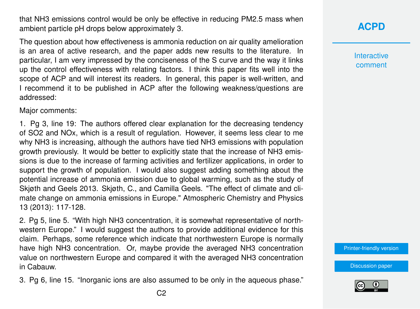that NH3 emissions control would be only be effective in reducing PM2.5 mass when ambient particle pH drops below approximately 3.

The question about how effectiveness is ammonia reduction on air quality amelioration is an area of active research, and the paper adds new results to the literature. In particular, I am very impressed by the conciseness of the S curve and the way it links up the control effectiveness with relating factors. I think this paper fits well into the scope of ACP and will interest its readers. In general, this paper is well-written, and I recommend it to be published in ACP after the following weakness/questions are addressed:

Major comments:

1. Pg 3, line 19: The authors offered clear explanation for the decreasing tendency of SO2 and NOx, which is a result of regulation. However, it seems less clear to me why NH3 is increasing, although the authors have tied NH3 emissions with population growth previously. It would be better to explicitly state that the increase of NH3 emissions is due to the increase of farming activities and fertilizer applications, in order to support the growth of population. I would also suggest adding something about the potential increase of ammonia emission due to global warming, such as the study of Skjøth and Geels 2013. Skjøth, C., and Camilla Geels. "The effect of climate and climate change on ammonia emissions in Europe." Atmospheric Chemistry and Physics 13 (2013): 117-128.

2. Pg 5, line 5. "With high NH3 concentration, it is somewhat representative of northwestern Europe." I would suggest the authors to provide additional evidence for this claim. Perhaps, some reference which indicate that northwestern Europe is normally have high NH3 concentration. Or, maybe provide the averaged NH3 concentration value on northwestern Europe and compared it with the averaged NH3 concentration in Cabauw.

3. Pg 6, line 15. "Inorganic ions are also assumed to be only in the aqueous phase."

**[ACPD](https://www.atmos-chem-phys-discuss.net/)**

**Interactive** comment

[Printer-friendly version](https://www.atmos-chem-phys-discuss.net/acp-2018-378/acp-2018-378-RC1-print.pdf)

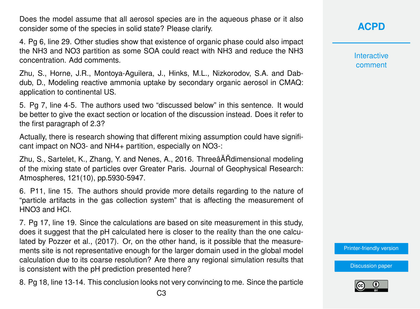Does the model assume that all aerosol species are in the aqueous phase or it also consider some of the species in solid state? Please clarify.

4. Pg 6, line 29. Other studies show that existence of organic phase could also impact the NH3 and NO3 partition as some SOA could react with NH3 and reduce the NH3 concentration. Add comments.

Zhu, S., Horne, J.R., Montoya-Aguilera, J., Hinks, M.L., Nizkorodov, S.A. and Dabdub, D., Modeling reactive ammonia uptake by secondary organic aerosol in CMAQ: application to continental US.

5. Pg 7, line 4-5. The authors used two "discussed below" in this sentence. It would be better to give the exact section or location of the discussion instead. Does it refer to the first paragraph of 2.3?

Actually, there is research showing that different mixing assumption could have significant impact on NO3- and NH4+ partition, especially on NO3-:

Zhu, S., Sartelet, K., Zhang, Y. and Nenes, A., 2016. ThreeâĂŘdimensional modeling of the mixing state of particles over Greater Paris. Journal of Geophysical Research: Atmospheres, 121(10), pp.5930-5947.

6. P11, line 15. The authors should provide more details regarding to the nature of "particle artifacts in the gas collection system" that is affecting the measurement of HNO3 and HCl.

7. Pg 17, line 19. Since the calculations are based on site measurement in this study, does it suggest that the pH calculated here is closer to the reality than the one calculated by Pozzer et al., (2017). Or, on the other hand, is it possible that the measurements site is not representative enough for the larger domain used in the global model calculation due to its coarse resolution? Are there any regional simulation results that is consistent with the pH prediction presented here?

8. Pg 18, line 13-14. This conclusion looks not very convincing to me. Since the particle

**[ACPD](https://www.atmos-chem-phys-discuss.net/)**

**Interactive** comment

[Printer-friendly version](https://www.atmos-chem-phys-discuss.net/acp-2018-378/acp-2018-378-RC1-print.pdf)

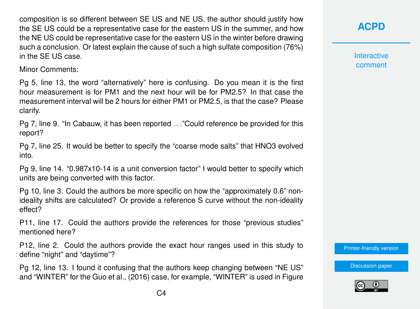composition is so different between SE US and NE US, the author should justify how the SE US could be a representative case for the eastern US in the summer, and how the NE US could be representative case for the eastern US in the winter before drawing such a conclusion. Or latest explain the cause of such a high sulfate composition (76%) in the SE US case.

Minor Comments:

Pg 5, line 13, the word "alternatively" here is confusing. Do you mean it is the first hour measurement is for PM1 and the next hour will be for PM2.5? In that case the measurement interval will be 2 hours for either PM1 or PM2.5, is that the case? Please clarify.

Pg 7, line 9. "In Cabauw, it has been reported . . ."Could reference be provided for this report?

Pg 7, line 25. It would be better to specify the "coarse mode salts" that HNO3 evolved into.

Pg 9, line 14. "0.987x10-14 is a unit conversion factor" I would better to specify which units are being converted with this factor.

Pg 10, line 3. Could the authors be more specific on how the "approximately 0.6" nonideality shifts are calculated? Or provide a reference S curve without the non-ideality effect?

P11, line 17. Could the authors provide the references for those "previous studies" mentioned here?

P12, line 2. Could the authors provide the exact hour ranges used in this study to define "night" and "daytime"?

Pg 12, line 13. I found it confusing that the authors keep changing between "NE US" and "WINTER" for the Guo et al., (2016) case, for example, "WINTER" is used in Figure **Interactive** comment

[Printer-friendly version](https://www.atmos-chem-phys-discuss.net/acp-2018-378/acp-2018-378-RC1-print.pdf)